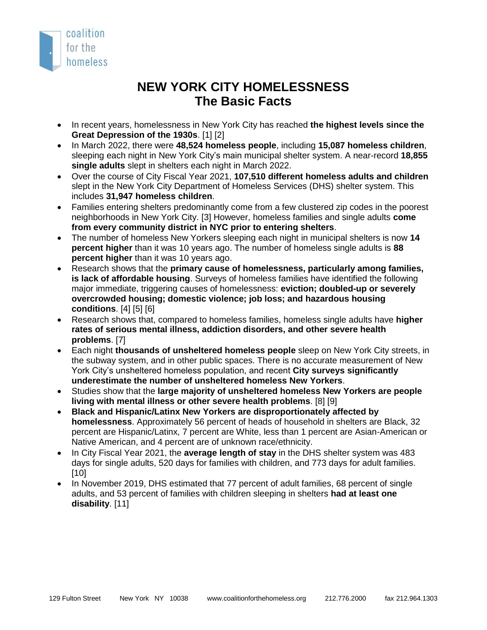

## **NEW YORK CITY HOMELESSNESS The Basic Facts**

- In recent years, homelessness in New York City has reached **the highest levels since the Great Depression of the 1930s**. [1] [2]
- In March 2022, there were **48,524 homeless people**, including **15,087 homeless children**, sleeping each night in New York City's main municipal shelter system. A near-record **18,855 single adults** slept in shelters each night in March 2022.
- Over the course of City Fiscal Year 2021, **107,510 different homeless adults and children** slept in the New York City Department of Homeless Services (DHS) shelter system. This includes **31,947 homeless children**.
- Families entering shelters predominantly come from a few clustered zip codes in the poorest neighborhoods in New York City. [3] However, homeless families and single adults **come from every community district in NYC prior to entering shelters**.
- The number of homeless New Yorkers sleeping each night in municipal shelters is now **14 percent higher** than it was 10 years ago. The number of homeless single adults is **88 percent higher** than it was 10 years ago.
- Research shows that the **primary cause of homelessness, particularly among families, is lack of affordable housing**. Surveys of homeless families have identified the following major immediate, triggering causes of homelessness: **eviction; doubled-up or severely overcrowded housing; domestic violence; job loss; and hazardous housing conditions**. [4] [5] [6]
- Research shows that, compared to homeless families, homeless single adults have **higher rates of serious mental illness, addiction disorders, and other severe health problems**. [7]
- Each night **thousands of unsheltered homeless people** sleep on New York City streets, in the subway system, and in other public spaces. There is no accurate measurement of New York City's unsheltered homeless population, and recent **City surveys significantly underestimate the number of unsheltered homeless New Yorkers**.
- Studies show that the **large majority of unsheltered homeless New Yorkers are people living with mental illness or other severe health problems**. [8] [9]
- **Black and Hispanic/Latinx New Yorkers are disproportionately affected by homelessness**. Approximately 56 percent of heads of household in shelters are Black, 32 percent are Hispanic/Latinx, 7 percent are White, less than 1 percent are Asian-American or Native American, and 4 percent are of unknown race/ethnicity.
- In City Fiscal Year 2021, the **average length of stay** in the DHS shelter system was 483 days for single adults, 520 days for families with children, and 773 days for adult families. [10]
- In November 2019, DHS estimated that 77 percent of adult families, 68 percent of single adults, and 53 percent of families with children sleeping in shelters **had at least one disability**. [11]